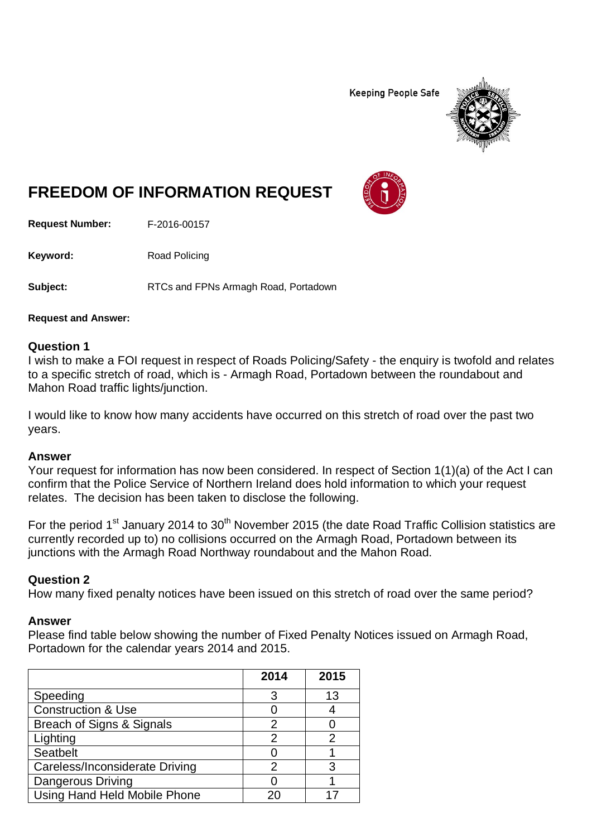**Keeping People Safe** 



# **FREEDOM OF INFORMATION REQUEST**

**Request Number:** F-2016-00157

Keyword: Road Policing

**Subject:** RTCs and FPNs Armagh Road, Portadown

**Request and Answer:**

### **Question 1**

I wish to make a FOI request in respect of Roads Policing/Safety - the enquiry is twofold and relates to a specific stretch of road, which is - Armagh Road, Portadown between the roundabout and Mahon Road traffic lights/junction.

I would like to know how many accidents have occurred on this stretch of road over the past two years.

#### **Answer**

Your request for information has now been considered. In respect of Section 1(1)(a) of the Act I can confirm that the Police Service of Northern Ireland does hold information to which your request relates. The decision has been taken to disclose the following.

For the period 1<sup>st</sup> January 2014 to 30<sup>th</sup> November 2015 (the date Road Traffic Collision statistics are currently recorded up to) no collisions occurred on the Armagh Road, Portadown between its junctions with the Armagh Road Northway roundabout and the Mahon Road.

## **Question 2**

How many fixed penalty notices have been issued on this stretch of road over the same period?

#### **Answer**

Please find table below showing the number of Fixed Penalty Notices issued on Armagh Road, Portadown for the calendar years 2014 and 2015.

|                                | 2014 | 2015 |
|--------------------------------|------|------|
| Speeding                       | 3    | 13   |
| <b>Construction &amp; Use</b>  |      |      |
| Breach of Signs & Signals      | 2    |      |
| Lighting                       | 2    |      |
| Seatbelt                       |      |      |
| Careless/Inconsiderate Driving | 2    |      |
| <b>Dangerous Driving</b>       |      |      |
| Using Hand Held Mobile Phone   |      |      |